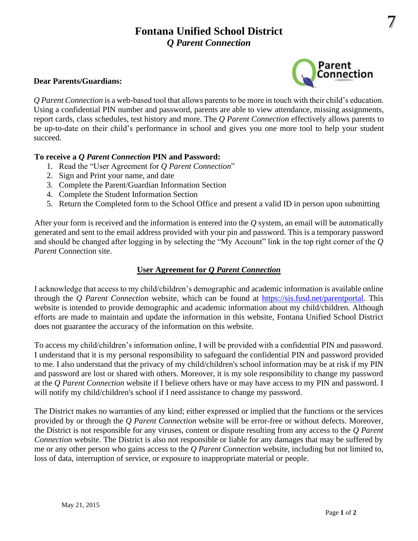# **Fontana Unified School District** *Q Parent Connection*

#### **Dear Parents/Guardians:**



*Q Parent Connection* is a web-based tool that allows parents to be more in touch with their child's education. Using a confidential PIN number and password, parents are able to view attendance, missing assignments, report cards, class schedules, test history and more. The *Q Parent Connection* effectively allows parents to be up-to-date on their child's performance in school and gives you one more tool to help your student succeed.

## **To receive a** *Q Parent Connection* **PIN and Password:**

- 1. Read the "User Agreement for *Q Parent Connection*"
- 2. Sign and Print your name, and date
- 3. Complete the Parent/Guardian Information Section
- 4. Complete the Student Information Section
- 5. Return the Completed form to the School Office and present a valid ID in person upon submitting

After your form is received and the information is entered into the *Q* system, an email will be automatically generated and sent to the email address provided with your pin and password. This is a temporary password and should be changed after logging in by selecting the "My Account" link in the top right corner of the *Q Parent* Connection site.

## **User Agreement for** *Q Parent Connection*

I acknowledge that access to my child/children's demographic and academic information is available online through the *Q Parent Connection* website, which can be found at [https://sis.fusd.net/parentportal.](https://sis.fusd.net/parentportal) This website is intended to provide demographic and academic information about my child/children. Although efforts are made to maintain and update the information in this website, Fontana Unified School District does not guarantee the accuracy of the information on this website.

To access my child/children's information online, I will be provided with a confidential PIN and password. I understand that it is my personal responsibility to safeguard the confidential PIN and password provided to me. I also understand that the privacy of my child/children's school information may be at risk if my PIN and password are lost or shared with others. Moreover, it is my sole responsibility to change my password at the *Q Parent Connection* website if I believe others have or may have access to my PIN and password. I will notify my child/children's school if I need assistance to change my password.

The District makes no warranties of any kind; either expressed or implied that the functions or the services provided by or through the *Q Parent Connection* website will be error-free or without defects. Moreover, the District is not responsible for any viruses, content or dispute resulting from any access to the *Q Parent Connection* website. The District is also not responsible or liable for any damages that may be suffered by me or any other person who gains access to the *Q Parent Connection* website, including but not limited to, loss of data, interruption of service, or exposure to inappropriate material or people.